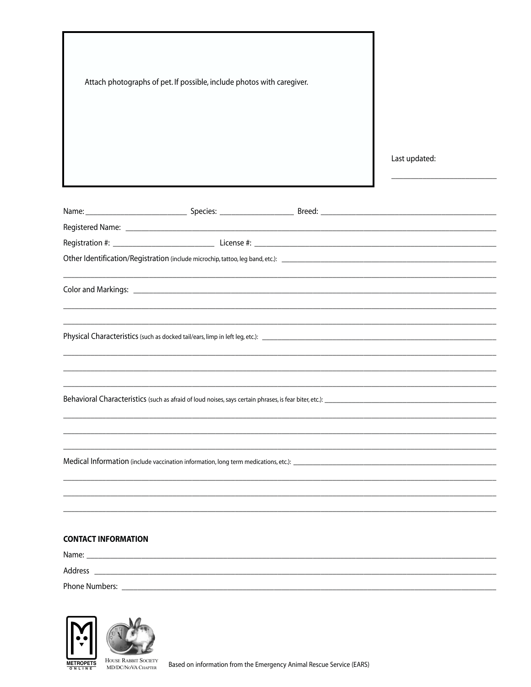| Attach photographs of pet. If possible, include photos with caregiver. |  |  |               |
|------------------------------------------------------------------------|--|--|---------------|
|                                                                        |  |  |               |
|                                                                        |  |  |               |
|                                                                        |  |  |               |
|                                                                        |  |  |               |
|                                                                        |  |  | Last updated: |
|                                                                        |  |  |               |
|                                                                        |  |  |               |
|                                                                        |  |  |               |
|                                                                        |  |  |               |
|                                                                        |  |  |               |
|                                                                        |  |  |               |
|                                                                        |  |  |               |
|                                                                        |  |  |               |
|                                                                        |  |  |               |
|                                                                        |  |  |               |
|                                                                        |  |  |               |
|                                                                        |  |  |               |
|                                                                        |  |  |               |
|                                                                        |  |  |               |
|                                                                        |  |  |               |
|                                                                        |  |  |               |
|                                                                        |  |  |               |
|                                                                        |  |  |               |
|                                                                        |  |  |               |
|                                                                        |  |  |               |
|                                                                        |  |  |               |
|                                                                        |  |  |               |
| <b>CONTACT INFORMATION</b>                                             |  |  |               |
|                                                                        |  |  |               |
| Address                                                                |  |  |               |





HOUSE RABBIT SOCIETY<br>MD/DC/NoVA CHAPTER

Based on information from the Emergency Animal Rescue Service (EARS)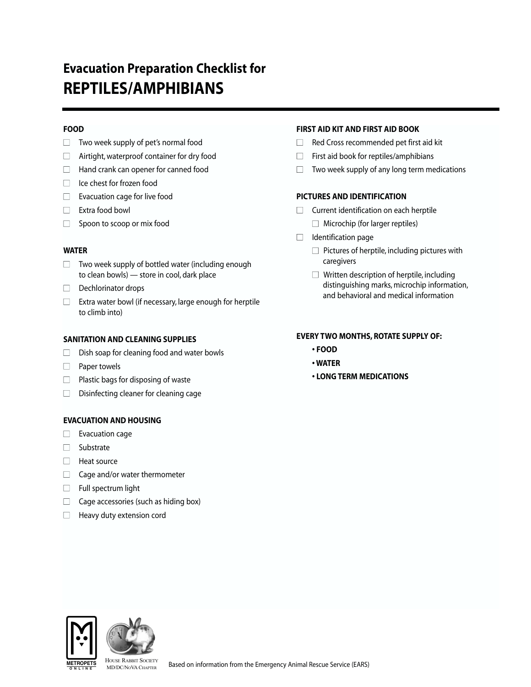# **Evacuation Preparation Checklist for REPTILES/AMPHIBIANS**

## **FOOD**

- $\Box$  Two week supply of pet's normal food
- $\Box$  Airtight, waterproof container for dry food
- $\Box$  Hand crank can opener for canned food
- $\Box$  Ice chest for frozen food
- $\Box$  Evacuation cage for live food
- □ Extra food bowl
- $\Box$  Spoon to scoop or mix food

### **WATER**

- $\Box$  Two week supply of bottled water (including enough to clean bowls) — store in cool, dark place
- □ Dechlorinator drops
- $\Box$  Extra water bowl (if necessary, large enough for herptile to climb into)

### **SANITATION AND CLEANING SUPPLIES**

- $\Box$  Dish soap for cleaning food and water bowls
- $\Box$  Paper towels
- $\Box$  Plastic bags for disposing of waste
- $\Box$  Disinfecting cleaner for cleaning cage

#### **EVACUATION AND HOUSING**

- $\Box$  Evacuation cage
- Substrate
- $\Box$  Heat source
- $\Box$  Cage and/or water thermometer
- $\Box$  Full spectrum light
- $\Box$  Cage accessories (such as hiding box)
- $\Box$  Heavy duty extension cord

## **FIRST AID KIT AND FIRST AID BOOK**

- $\Box$  Red Cross recommended pet first aid kit
- $\Box$  First aid book for reptiles/amphibians
- $\Box$  Two week supply of any long term medications

### **PICTURES AND IDENTIFICATION**

- $\Box$  Current identification on each herptile  $\Box$  Microchip (for larger reptiles)
- $\Box$  Identification page
	- $\Box$  Pictures of herptile, including pictures with caregivers
	- $\Box$  Written description of herptile, including distinguishing marks, microchip information, and behavioral and medical information

#### **EVERY TWO MONTHS, ROTATE SUPPLY OF:**

- **FOOD**
- **WATER**
- **LONG TERM MEDICATIONS**



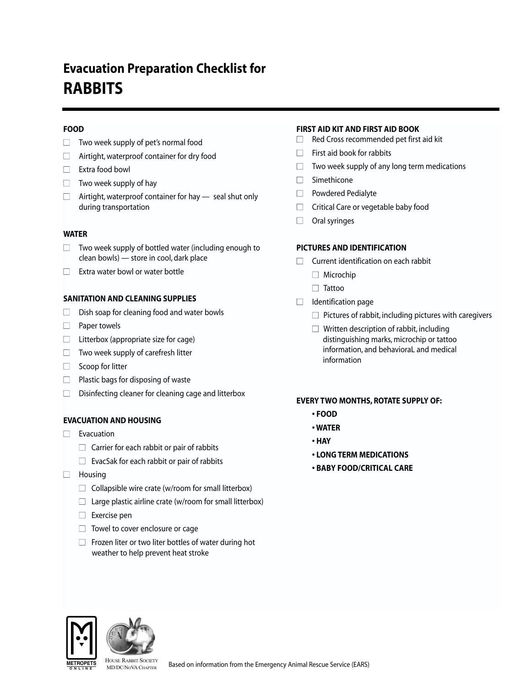# **Evacuation Preparation Checklist for RABBITS**

## **FOOD**

- $\Box$  Two week supply of pet's normal food
- $\Box$  Airtight, waterproof container for dry food
- □ Extra food bowl
- $\Box$  Two week supply of hay
- $\Box$  Airtight, waterproof container for hay  $-$  seal shut only during transportation

## **WATER**

- $\Box$  Two week supply of bottled water (including enough to clean bowls) — store in cool, dark place
- $\Box$  Extra water bowl or water bottle

### **SANITATION AND CLEANING SUPPLIES**

- $\Box$  Dish soap for cleaning food and water bowls
- □ Paper towels
- $\Box$  Litterbox (appropriate size for cage)
- $\Box$  Two week supply of carefresh litter
- $\Box$  Scoop for litter
- $\Box$  Plastic bags for disposing of waste
- $\Box$  Disinfecting cleaner for cleaning cage and litterbox

## **EVACUATION AND HOUSING**

- $\Box$  Evacuation
	- $\Box$  Carrier for each rabbit or pair of rabbits
	- $\Box$  EvacSak for each rabbit or pair of rabbits
- □ Housing
	- $\Box$  Collapsible wire crate (w/room for small litterbox)
	- $\Box$  Large plastic airline crate (w/room for small litterbox)
	- $\Box$  Exercise pen
	- $\Box$  Towel to cover enclosure or cage
	- $\Box$  Frozen liter or two liter bottles of water during hot weather to help prevent heat stroke

### **FIRST AID KIT AND FIRST AID BOOK**

- $\Box$  Red Cross recommended pet first aid kit
- $\Box$  First aid book for rabbits
- $\Box$  Two week supply of any long term medications
- $\Box$  Simethicone
- □ Powdered Pedialyte
- $\Box$  Critical Care or vegetable baby food
- $\Box$  Oral syringes

### **PICTURES AND IDENTIFICATION**

- $\Box$  Current identification on each rabbit
	- $\Box$  Microchip
	- □ Tattoo
- $\Box$  Identification page
	- $\Box$  Pictures of rabbit, including pictures with caregivers
	- $\Box$  Written description of rabbit, including distinguishing marks, microchip or tattoo information, and behavioraL and medical information

#### **EVERY TWO MONTHS, ROTATE SUPPLY OF:**

- **FOOD**
- **WATER**
- **HAY**
- **LONG TERM MEDICATIONS**
- **BABY FOOD/CRITICAL CARE**



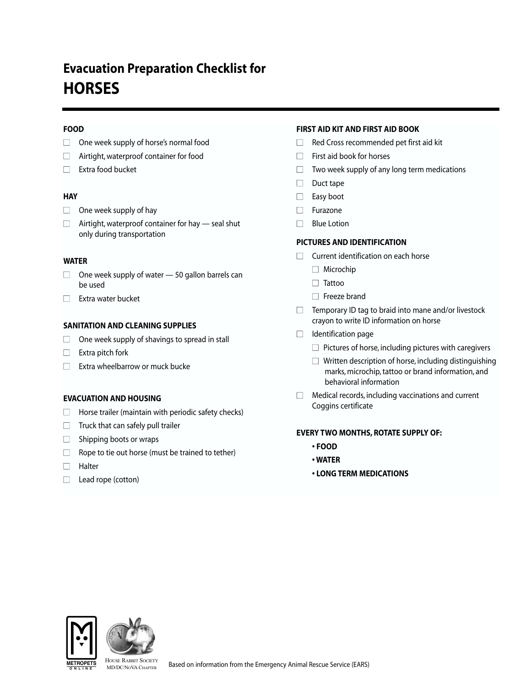# **Evacuation Preparation Checklist for HORSES**

## **FOOD**

- $\Box$  One week supply of horse's normal food
- $\Box$  Airtight, waterproof container for food
- □ Extra food bucket

## **HAY**

- $\Box$  One week supply of hay
- $\Box$  Airtight, waterproof container for hay  $-$  seal shut only during transportation

## **WATER**

- $\Box$  One week supply of water  $-$  50 gallon barrels can be used
- $\Box$  Extra water bucket

# **SANITATION AND CLEANING SUPPLIES**

- $\Box$  One week supply of shavings to spread in stall
- $\Box$  Extra pitch fork
- $\Box$  Extra wheelbarrow or muck bucke

## **EVACUATION AND HOUSING**

- $\Box$  Horse trailer (maintain with periodic safety checks)
- $\Box$  Truck that can safely pull trailer
- $\Box$  Shipping boots or wraps
- $\Box$  Rope to tie out horse (must be trained to tether)
- Halter
- □ Lead rope (cotton)

# **FIRST AID KIT AND FIRST AID BOOK**

- $\Box$  Red Cross recommended pet first aid kit
- $\Box$  First aid book for horses
- $\Box$  Two week supply of any long term medications
- □ Duct tape
- □ Easy boot
- □ Furazone
- $\Box$  Blue Lotion

# **PICTURES AND IDENTIFICATION**

- $\Box$  Current identification on each horse
	- $\Box$  Microchip
	- □ Tattoo
	- $\Box$  Freeze brand
- $\Box$  Temporary ID tag to braid into mane and/or livestock crayon to write ID information on horse
- $\Box$  Identification page
	- $\Box$  Pictures of horse, including pictures with caregivers
	- $\Box$  Written description of horse, including distinguishing marks, microchip, tattoo or brand information, and behavioral information
- $\Box$  Medical records, including vaccinations and current Coggins certificate

## **EVERY TWO MONTHS, ROTATE SUPPLY OF:**

- **FOOD**
- **WATER**
- **LONG TERM MEDICATIONS**



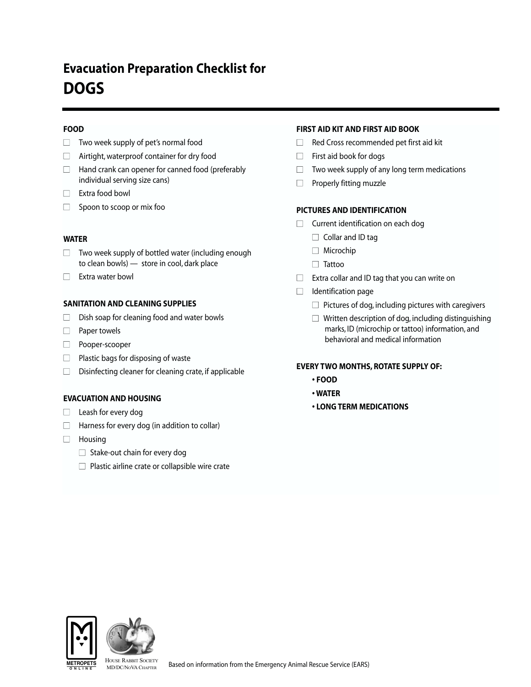# **Evacuation Preparation Checklist for DOGS**

## **FOOD**

- $\Box$  Two week supply of pet's normal food
- $\Box$  Airtight, waterproof container for dry food
- $\Box$  Hand crank can opener for canned food (preferably individual serving size cans)
- □ Extra food bowl
- $\Box$  Spoon to scoop or mix foo

### **WATER**

- $\Box$  Two week supply of bottled water (including enough to clean bowls) — store in cool, dark place
- □ Extra water bowl

### **SANITATION AND CLEANING SUPPLIES**

- $\Box$  Dish soap for cleaning food and water bowls
- □ Paper towels
- Pooper-scooper
- $\Box$  Plastic bags for disposing of waste
- $\Box$  Disinfecting cleaner for cleaning crate, if applicable

#### **EVACUATION AND HOUSING**

- $\Box$  Leash for every dog
- $\Box$  Harness for every dog (in addition to collar)
- □ Housing
	- $\Box$  Stake-out chain for every dog
	- $\Box$  Plastic airline crate or collapsible wire crate

## **FIRST AID KIT AND FIRST AID BOOK**

- $\Box$  Red Cross recommended pet first aid kit
- $\Box$  First aid book for dogs
- $\Box$  Two week supply of any long term medications
- $\Box$  Properly fitting muzzle

### **PICTURES AND IDENTIFICATION**

- $\Box$  Current identification on each dog
	- $\Box$  Collar and ID tag
	- □ Microchip
	- □ Tattoo
- $\Box$  Extra collar and ID tag that you can write on
- $\Box$  Identification page
	- $\Box$  Pictures of dog, including pictures with caregivers
	- $\Box$  Written description of dog, including distinguishing marks, ID (microchip or tattoo) information, and behavioral and medical information

#### **EVERY TWO MONTHS, ROTATE SUPPLY OF:**

- **FOOD**
- **WATER**
- **LONG TERM MEDICATIONS**



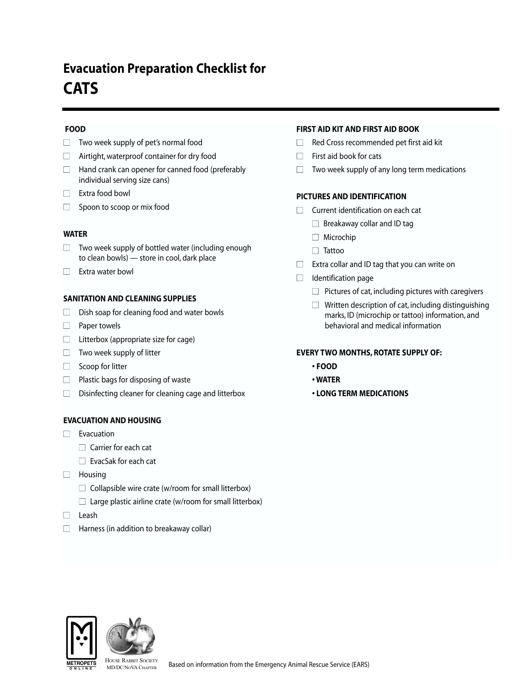# **Evacuation Preparation Checklist for CATS**

## **FOOD**

- $\Box$  Two week supply of pet's normal food
- $\Box$  Airtight, waterproof container for dry food
- $\Box$  Hand crank can opener for canned food (preferably individual serving size cans)
- □ Extra food bowl
- $\Box$  Spoon to scoop or mix food

### **WATER**

- $\Box$  Two week supply of bottled water (including enough to clean bowls) — store in cool, dark place
- □ Extra water bowl

### **SANITATION AND CLEANING SUPPLIES**

- $\Box$  Dish soap for cleaning food and water bowls
- □ Paper towels
- $\Box$  Litterbox (appropriate size for cage)
- $\Box$  Two week supply of litter
- $\Box$  Scoop for litter
- $\Box$  Plastic bags for disposing of waste
- $\Box$  Disinfecting cleaner for cleaning cage and litterbox

## **EVACUATION AND HOUSING**

- $\Box$  Evacuation
	- $\Box$  Carrier for each cat
	- $\Box$  EvacSak for each cat
- □ Housing
	- $\Box$  Collapsible wire crate (w/room for small litterbox)
	- $\Box$  Large plastic airline crate (w/room for small litterbox)
- Leash
- $\Box$  Harness (in addition to breakaway collar)

## **FIRST AID KIT AND FIRST AID BOOK**

- $\Box$  Red Cross recommended pet first aid kit
- $\Box$  First aid book for cats
- $\Box$  Two week supply of any long term medications

### **PICTURES AND IDENTIFICATION**

- $\Box$  Current identification on each cat
	- $\Box$  Breakaway collar and ID tag
	- □ Microchip
	- □ Tattoo
- $\Box$  Extra collar and ID tag that you can write on
- $\Box$  Identification page
	- $\Box$  Pictures of cat, including pictures with caregivers
	- $\Box$  Written description of cat, including distinguishing marks, ID (microchip or tattoo) information, and behavioral and medical information

#### **EVERY TWO MONTHS, ROTATE SUPPLY OF:**

- **FOOD**
- **WATER**
- **LONG TERM MEDICATIONS**